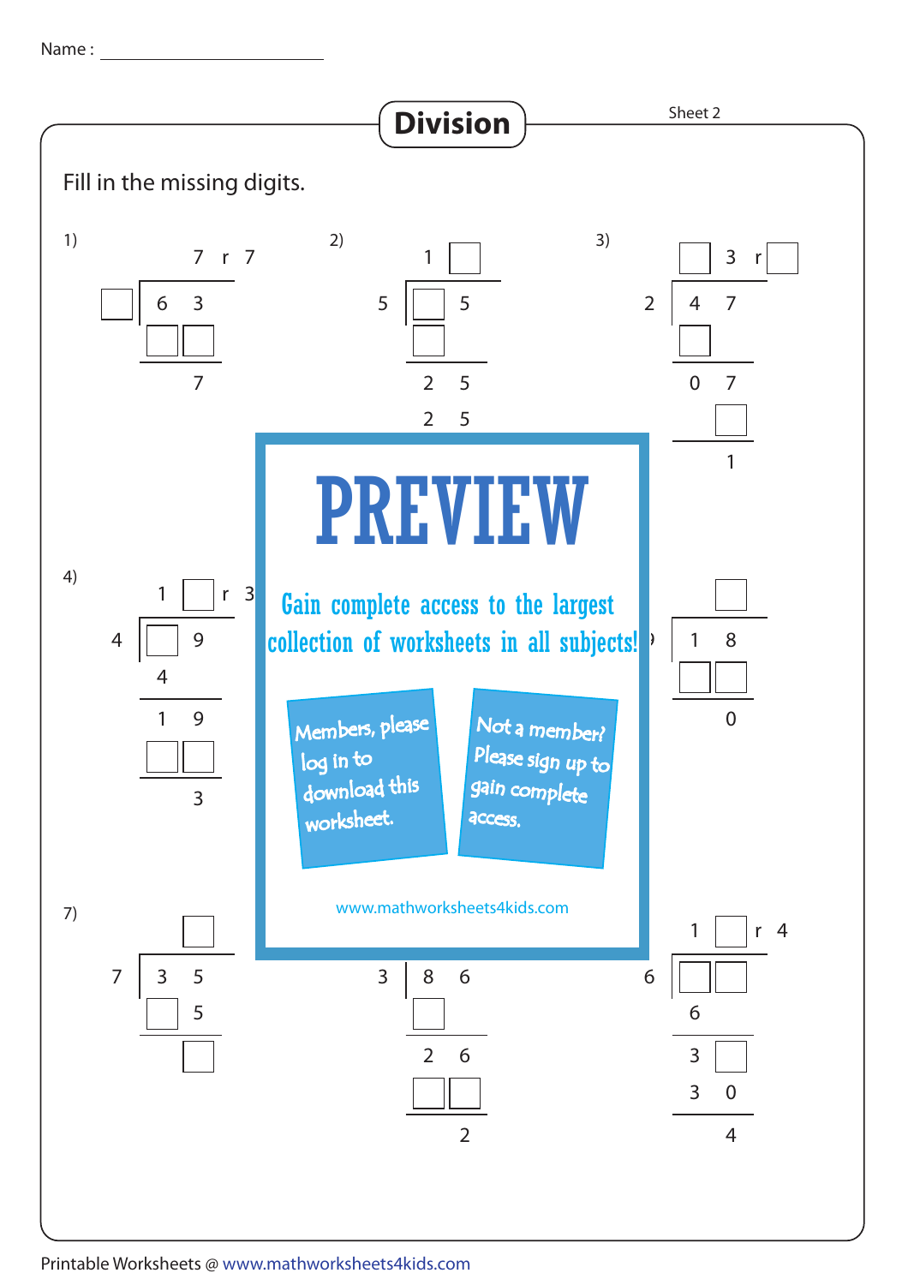